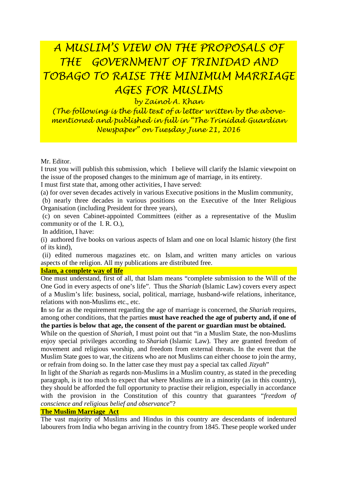# *A MUSLIM'S VIEW ON THE PROPOSALS OF THE GOVERNMENT OF TRINIDAD AND TOBAGO TO RAISE THE MINIMUM MARRIAGE AGES FOR MUSLIMS*

*by Zainol A. Khan*

*(The following is the full text of a letter written by the abovementioned and published in full in "The Trinidad Guardian Newspaper" on Tuesday June 21, 2016*

Mr. Editor.

I trust you will publish this submission, which I believe will clarify the Islamic viewpoint on the issue of the proposed changes to the minimum age of marriage, in its entirety.

I must first state that, among other activities, I have served:

(a) for over seven decades actively in various Executive positions in the Muslim community,

(b) nearly three decades in various positions on the Executive of the Inter Religious Organisation (including President for three years),

(c) on seven Cabinet-appointed Committees (either as a representative of the Muslim community or of the I. R. O.),

In addition, I have:

(i) authored five books on various aspects of Islam and one on local Islamic history (the first of its kind),

(ii) edited numerous magazines etc. on Islam, and written many articles on various aspects of the religion. All my publications are distributed free.

#### **Islam, a complete way of life**

One must understand, first of all, that Islam means "complete submission to the Will of the One God in every aspects of one's life". Thus the *Shariah* (Islamic Law) covers every aspect of a Muslim's life: business, social, political, marriage, husband-wife relations, inheritance, relations with non-Muslims etc., etc.

**I**n so far as the requirement regarding the age of marriage is concerned, the *Shariah* requires, among other conditions, that the parties **must have reached the age of puberty and, if one of the parties is below that age, the consent of the parent or guardian must be obtained.**

While on the question of *Shariah*, I must point out that "in a Muslim State, the non-Muslims enjoy special privileges according to *Shariah* (Islamic Law). They are granted freedom of movement and religious worship, and freedom from external threats. In the event that the Muslim State goes to war, the citizens who are not Muslims can either choose to join the army, or refrain from doing so. In the latter case they must pay a special tax called *Jizyah*"

In light of the *Shariah* as regards non-Muslims in a Muslim country, as stated in the preceding paragraph, is it too much to expect that where Muslims are in a minority (as in this country), they should be afforded the full opportunity to practise their religion, especially in accordance with the provision in the Constitution of this country that guarantees "*freedom of conscience and religious belief and observance*"?

#### **The Muslim Marriage Act**

The vast majority of Muslims and Hindus in this country are descendants of indentured labourers from India who began arriving in the country from 1845. These people worked under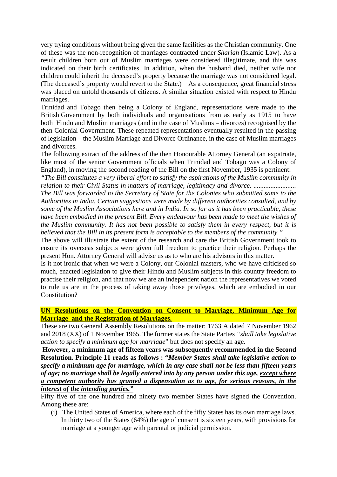very trying conditions without being given the same facilities as the Christian community. One of these was the non-recognition of marriages contracted under *Shariah* (Islamic Law). As a result children born out of Muslim marriages were considered illegitimate, and this was indicated on their birth certificates. In addition, when the husband died, neither wife nor children could inherit the deceased's property because the marriage was not considered legal. (The deceased's property would revert to the State.) As a consequence, great financial stress was placed on untold thousands of citizens. A similar situation existed with respect to Hindu marriages.

Trinidad and Tobago then being a Colony of England, representations were made to the British Government by both individuals and organisations from as early as 1915 to have both Hindu and Muslim marriages (and in the case of Muslims – divorces) recognised by the then Colonial Government. These repeated representations eventually resulted in the passing of legislation – the Muslim Marriage and Divorce Ordinance, in the case of Muslim marriages and divorces.

The following extract of the address of the then Honourable Attorney General (an expatriate, like most of the senior Government officials when Trinidad and Tobago was a Colony of England), in moving the second reading of the Bill on the first November, 1935 is pertinent:

*"The Bill constitutes a very liberal effort to satisfy the aspirations of the Muslim community in relation to their Civil Status in matters of marriage, legitimacy and divorce. .........................* 

*The Bill was forwarded to the Secretary of State for the Colonies who submitted same to the Authorities in India. Certain suggestions were made by different authorities consulted, and by some of the Muslim Associations here and in India. In so far as it has been practicable, these have been embodied in the present Bill. Every endeavour has been made to meet the wishes of the Muslim community. It has not been possible to satisfy them in every respect, but it is believed that the Bill in its present form is acceptable to the members of the community."*

The above will illustrate the extent of the research and care the British Government took to ensure its overseas subjects were given full freedom to practice their religion. Perhaps the present Hon. Attorney General will advise us as to who are his advisors in this matter.

Is it not ironic that when we were a Colony, our Colonial masters, who we have criticised so much, enacted legislation to give their Hindu and Muslim subjects in this country freedom to practise their religion, and that now we are an independent nation the representatives we voted to rule us are in the process of taking away those privileges, which are embodied in our Constitution?

#### **UN Resolutions on the Convention on Consent to Marriage, Minimum Age for Marriage and the Registration of Marriages.**

These are two General Assembly Resolutions on the matter: 1763 A dated 7 November 1962 and 2018 (XX) of 1 November 1965. The former states the State Parties *"shall take legislative action to specify a minimum age for marriage*" but does not specify an age.

**However, a minimum age of fifteen years was subsequently recommended in the Second Resolution. Principle 11 reads as follows : "***Member States shall take legislative action to specify a minimum age for marriage, which in any case shall not be less than fifteen years of age; no marriage shall be legally entered into by any person under this age, except where a competent authority has granted a dispensation as to age, for serious reasons, in the interest of the intending parties."*

Fifty five of the one hundred and ninety two member States have signed the Convention. Among these are:

(i) The United States of America, where each of the fifty States has its own marriage laws. In thirty two of the States (64%) the age of consent is sixteen years, with provisions for marriage at a younger age with parental or judicial permission.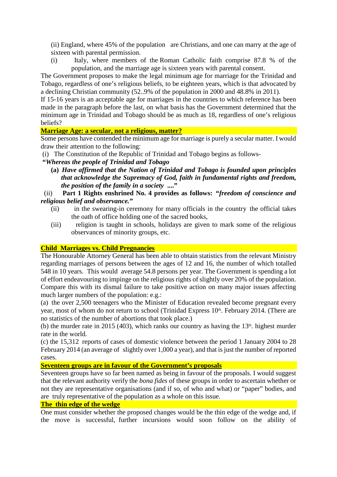(ii) England, where 45% of the population are Christians, and one can marry at the age of sixteen with parental permission.

(i) Italy, where members of the Roman Catholic faith comprise 87.8 % of the population, and the marriage age is sixteen years with parental consent.

The Government proposes to make the legal minimum age for marriage for the Trinidad and Tobago, regardless of one's religious beliefs, to be eighteen years, which is that advocated by a declining Christian community (52..9% of the population in 2000 and 48.8% in 2011).

If 15-16 years is an acceptable age for marriages in the countries to which reference has been made in the paragraph before the last, on what basis has the Government determined that the minimum age in Trinidad and Tobago should be as much as 18, regardless of one's religious beliefs?

# **Marriage Age: a secular, not a religious, matter?**

Some persons have contended the minimum age for marriage is purely a secular matter. I would draw their attention to the following:

(i) The Constitution of the Republic of Trinidad and Tobago begins as follows-

## **"***Whereas the people of Trinidad and Tobago*

**(a)** *Have affirmed that the Nation of Trinidad and Tobago is founded upon principles that acknowledge the Supremacy of God, faith in fundamental rights and freedom, the position of the family in a society* **...."**

## (ii) **Part 1 Rights enshrined No. 4 provides as follows: "***freedom of conscience and religious belief and observance."*

- (ii) in the swearing-in ceremony for many officials in the country the official takes the oath of office holding one of the sacred books,
- (iii) religion is taught in schools, holidays are given to mark some of the religious observances of minority groups, etc.

## **Child Marriages vs. Child Pregnancies**

The Honourable Attorney General has been able to obtain statistics from the relevant Ministry regarding marriages of persons between the ages of 12 and 16, the number of which totalled 548 in 10 years. This would average 54.8 persons per year. The Government is spending a lot of effort endeavouring to impinge on the religious rights of slightly over 20% of the population. Compare this with its dismal failure to take positive action on many major issues affecting much larger numbers of the population: e.g.:

(a) the over 2,500 teenagers who the Minister of Education revealed become pregnant every year, most of whom do not return to school (Trinidad Express 10<sup>th</sup>. February 2014. (There are no statistics of the number of abortions that took place.)

(b) the murder rate in 2015 (403), which ranks our country as having the  $13<sup>th</sup>$ . highest murder rate in the world.

(c) the 15,312 reports of cases of domestic violence between the period 1 January 2004 to 28 February 2014 (an average of slightly over 1,000 a year), and that is just the number of reported cases.

### **Seventeen groups are in favour of the Government's proposals**

Seventeen groups have so far been named as being in favour of the proposals. I would suggest that the relevant authority verify the *bona fides* of these groups in order to ascertain whether or not they are representative organisations (and if so, of who and what) or "paper" bodies, and are truly representative of the population as a whole on this issue.

#### **The thin edge of the wedge**

One must consider whether the proposed changes would be the thin edge of the wedge and, if the move is successful, further incursions would soon follow on the ability of